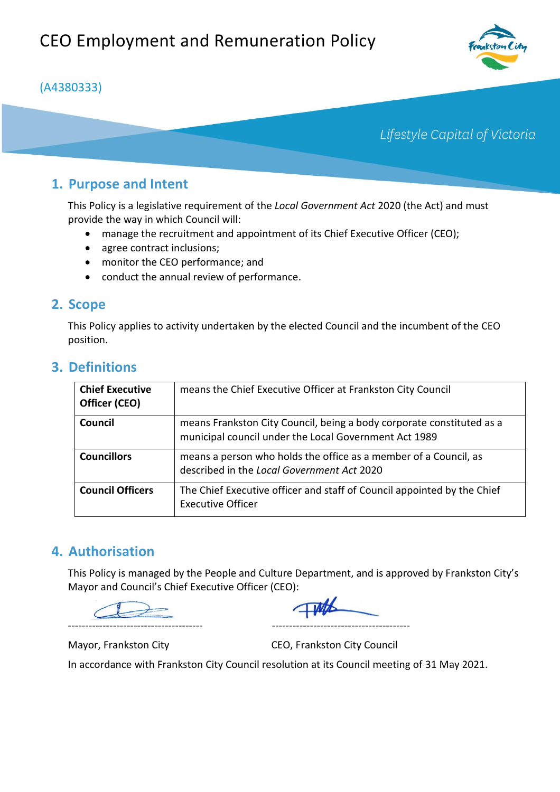### (A4380333)

# Lifestyle Capital of Victoria

## **1. Purpose and Intent**

This Policy is a legislative requirement of the *Local Government Act* 2020 (the Act) and must provide the way in which Council will:

- manage the recruitment and appointment of its Chief Executive Officer (CEO);
- agree contract inclusions;
- monitor the CEO performance; and
- conduct the annual review of performance.

### **2. Scope**

This Policy applies to activity undertaken by the elected Council and the incumbent of the CEO position.

| <b>Chief Executive</b><br>Officer (CEO) | means the Chief Executive Officer at Frankston City Council                                                                    |
|-----------------------------------------|--------------------------------------------------------------------------------------------------------------------------------|
| Council                                 | means Frankston City Council, being a body corporate constituted as a<br>municipal council under the Local Government Act 1989 |
| <b>Councillors</b>                      | means a person who holds the office as a member of a Council, as<br>described in the Local Government Act 2020                 |
| <b>Council Officers</b>                 | The Chief Executive officer and staff of Council appointed by the Chief<br><b>Executive Officer</b>                            |

### **3. Definitions**

### **4. Authorisation**

This Policy is managed by the People and Culture Department, and is approved by Frankston City's Mayor and Council's Chief Executive Officer (CEO):

--------------------------------------- ----------------------------------------

Mayor, Frankston City CEO, Frankston City Council

In accordance with Frankston City Council resolution at its Council meeting of 31 May 2021.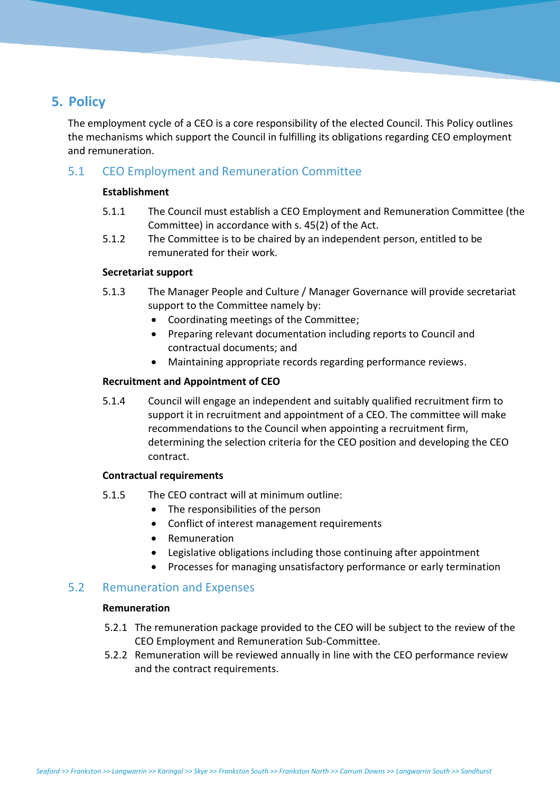### **5. Policy**

The employment cycle of a CEO is a core responsibility of the elected Council. This Policy outlines the mechanisms which support the Council in fulfilling its obligations regarding CEO employment and remuneration.

### 5.1 CEO Employment and Remuneration Committee

#### **Establishment**

- 5.1.1 The Council must establish a CEO Employment and Remuneration Committee (the Committee) in accordance with s. 45(2) of the Act.
- 5.1.2 The Committee is to be chaired by an independent person, entitled to be remunerated for their work.

#### **Secretariat support**

- 5.1.3 The Manager People and Culture / Manager Governance will provide secretariat support to the Committee namely by:
	- Coordinating meetings of the Committee;
	- Preparing relevant documentation including reports to Council and contractual documents; and
	- Maintaining appropriate records regarding performance reviews.

#### **Recruitment and Appointment of CEO**

5.1.4 Council will engage an independent and suitably qualified recruitment firm to support it in recruitment and appointment of a CEO. The committee will make recommendations to the Council when appointing a recruitment firm, determining the selection criteria for the CEO position and developing the CEO contract.

#### **Contractual requirements**

- 5.1.5 The CEO contract will at minimum outline:
	- The responsibilities of the person
	- Conflict of interest management requirements
	- Remuneration
	- Legislative obligations including those continuing after appointment
	- Processes for managing unsatisfactory performance or early termination

### 5.2 Remuneration and Expenses

#### **Remuneration**

- 5.2.1 The remuneration package provided to the CEO will be subject to the review of the CEO Employment and Remuneration Sub-Committee.
- 5.2.2 Remuneration will be reviewed annually in line with the CEO performance review and the contract requirements.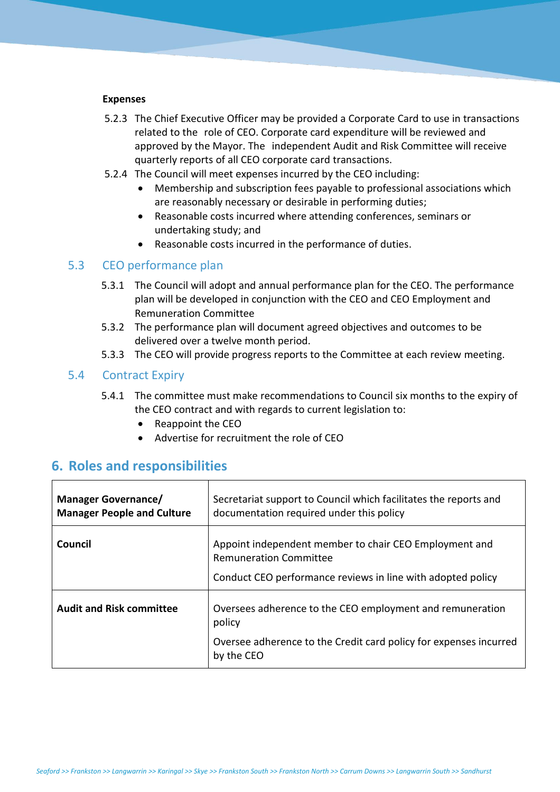#### **Expenses**

- 5.2.3 The Chief Executive Officer may be provided a Corporate Card to use in transactions related to the role of CEO. Corporate card expenditure will be reviewed and approved by the Mayor. The independent Audit and Risk Committee will receive quarterly reports of all CEO corporate card transactions.
- 5.2.4 The Council will meet expenses incurred by the CEO including:
	- Membership and subscription fees payable to professional associations which are reasonably necessary or desirable in performing duties;
	- Reasonable costs incurred where attending conferences, seminars or undertaking study; and
	- Reasonable costs incurred in the performance of duties.

#### 5.3 CEO performance plan

- 5.3.1 The Council will adopt and annual performance plan for the CEO. The performance plan will be developed in conjunction with the CEO and CEO Employment and Remuneration Committee
- 5.3.2 The performance plan will document agreed objectives and outcomes to be delivered over a twelve month period.
- 5.3.3 The CEO will provide progress reports to the Committee at each review meeting.

#### 5.4 Contract Expiry

- 5.4.1 The committee must make recommendations to Council six months to the expiry of the CEO contract and with regards to current legislation to:
	- Reappoint the CEO
	- Advertise for recruitment the role of CEO

### **6. Roles and responsibilities**

| <b>Manager Governance/</b><br><b>Manager People and Culture</b> | Secretariat support to Council which facilitates the reports and<br>documentation required under this policy                                           |  |
|-----------------------------------------------------------------|--------------------------------------------------------------------------------------------------------------------------------------------------------|--|
| Council                                                         | Appoint independent member to chair CEO Employment and<br><b>Remuneration Committee</b><br>Conduct CEO performance reviews in line with adopted policy |  |
| <b>Audit and Risk committee</b>                                 | Oversees adherence to the CEO employment and remuneration<br>policy<br>Oversee adherence to the Credit card policy for expenses incurred<br>by the CEO |  |